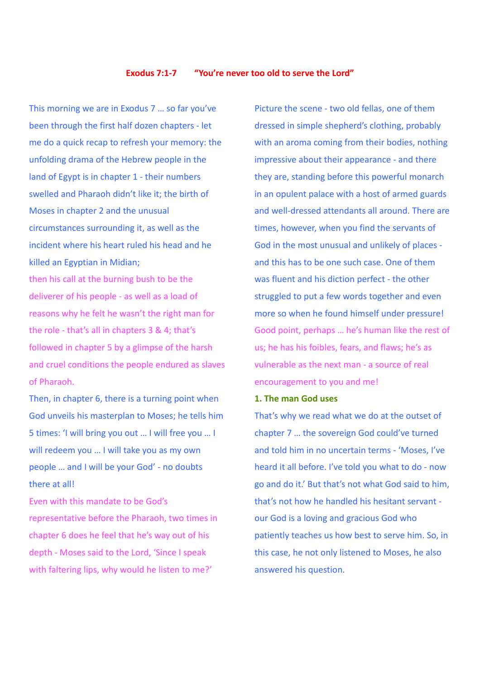#### **Exodus 7:1-7 "You're never too old to serve the Lord"**

This morning we are in Exodus 7 … so far you've been through the first half dozen chapters - let me do a quick recap to refresh your memory: the unfolding drama of the Hebrew people in the land of Egypt is in chapter 1 - their numbers swelled and Pharaoh didn't like it; the birth of Moses in chapter 2 and the unusual circumstances surrounding it, as well as the incident where his heart ruled his head and he killed an Egyptian in Midian; then his call at the burning bush to be the deliverer of his people - as well as a load of reasons why he felt he wasn't the right man for the role - that's all in chapters 3 & 4; that's

followed in chapter 5 by a glimpse of the harsh and cruel conditions the people endured as slaves of Pharaoh.

Then, in chapter 6, there is a turning point when God unveils his masterplan to Moses; he tells him 5 times: 'I will bring you out … I will free you … I will redeem you … I will take you as my own people … and I will be your God' - no doubts there at all!

Even with this mandate to be God's representative before the Pharaoh, two times in chapter 6 does he feel that he's way out of his depth - Moses said to the Lord, 'Since I speak with faltering lips, why would he listen to me?'

Picture the scene - two old fellas, one of them dressed in simple shepherd's clothing, probably with an aroma coming from their bodies, nothing impressive about their appearance - and there they are, standing before this powerful monarch in an opulent palace with a host of armed guards and well-dressed attendants all around. There are times, however, when you find the servants of God in the most unusual and unlikely of places and this has to be one such case. One of them was fluent and his diction perfect - the other struggled to put a few words together and even more so when he found himself under pressure! Good point, perhaps … he's human like the rest of us; he has his foibles, fears, and flaws; he's as vulnerable as the next man - a source of real encouragement to you and me!

### **1. The man God uses**

That's why we read what we do at the outset of chapter 7 … the sovereign God could've turned and told him in no uncertain terms - 'Moses, I've heard it all before. I've told you what to do - now go and do it.' But that's not what God said to him, that's not how he handled his hesitant servant our God is a loving and gracious God who patiently teaches us how best to serve him. So, in this case, he not only listened to Moses, he also answered his question.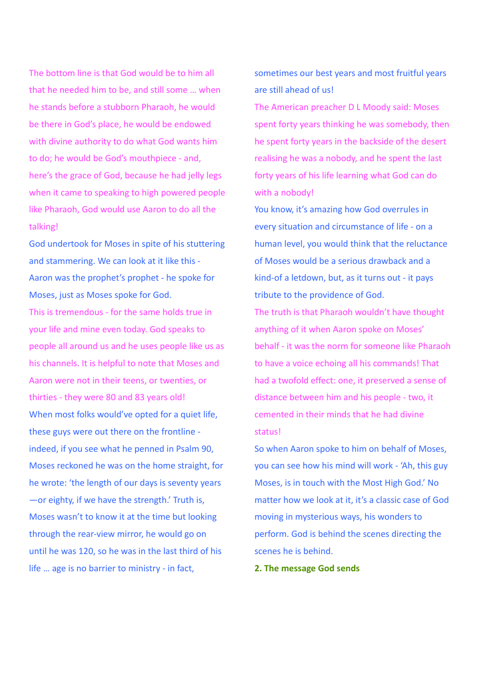The bottom line is that God would be to him all that he needed him to be, and still some … when he stands before a stubborn Pharaoh, he would be there in God's place, he would be endowed with divine authority to do what God wants him to do; he would be God's mouthpiece - and, here's the grace of God, because he had jelly legs when it came to speaking to high powered people like Pharaoh, God would use Aaron to do all the talking!

God undertook for Moses in spite of his stuttering and stammering. We can look at it like this - Aaron was the prophet's prophet - he spoke for Moses, just as Moses spoke for God.

This is tremendous - for the same holds true in your life and mine even today. God speaks to people all around us and he uses people like us as his channels. It is helpful to note that Moses and Aaron were not in their teens, or twenties, or thirties - they were 80 and 83 years old! When most folks would've opted for a quiet life, these guys were out there on the frontline indeed, if you see what he penned in Psalm 90, Moses reckoned he was on the home straight, for he wrote: 'the length of our days is seventy years —or eighty, if we have the strength.' Truth is, Moses wasn't to know it at the time but looking through the rear-view mirror, he would go on until he was 120, so he was in the last third of his life … age is no barrier to ministry - in fact,

sometimes our best years and most fruitful years are still ahead of us!

The American preacher D L Moody said: Moses spent forty years thinking he was somebody, then he spent forty years in the backside of the desert realising he was a nobody, and he spent the last forty years of his life learning what God can do with a nobody!

You know, it's amazing how God overrules in every situation and circumstance of life - on a human level, you would think that the reluctance of Moses would be a serious drawback and a kind-of a letdown, but, as it turns out - it pays tribute to the providence of God.

The truth is that Pharaoh wouldn't have thought anything of it when Aaron spoke on Moses' behalf - it was the norm for someone like Pharaoh to have a voice echoing all his commands! That had a twofold effect: one, it preserved a sense of distance between him and his people - two, it cemented in their minds that he had divine status!

So when Aaron spoke to him on behalf of Moses, you can see how his mind will work - 'Ah, this guy Moses, is in touch with the Most High God.' No matter how we look at it, it's a classic case of God moving in mysterious ways, his wonders to perform. God is behind the scenes directing the scenes he is behind.

**2. The message God sends**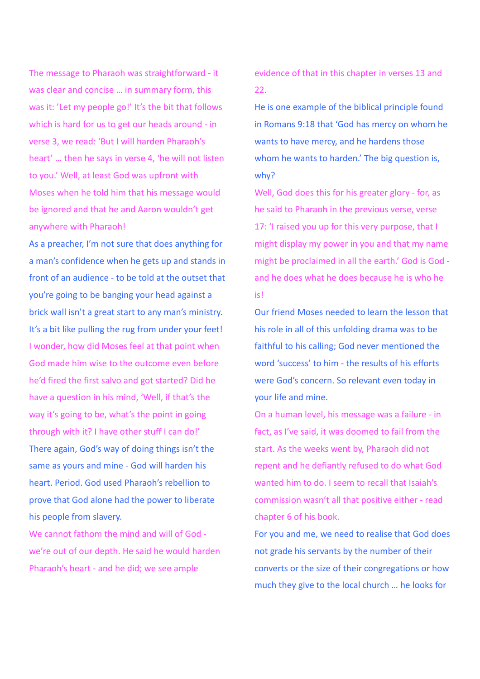The message to Pharaoh was straightforward - it was clear and concise … in summary form, this was it: 'Let my people go!' It's the bit that follows which is hard for us to get our heads around - in verse 3, we read: 'But I will harden Pharaoh's heart' … then he says in verse 4, 'he will not listen to you.' Well, at least God was upfront with Moses when he told him that his message would be ignored and that he and Aaron wouldn't get anywhere with Pharaoh!

As a preacher, I'm not sure that does anything for a man's confidence when he gets up and stands in front of an audience - to be told at the outset that you're going to be banging your head against a brick wall isn't a great start to any man's ministry. It's a bit like pulling the rug from under your feet! I wonder, how did Moses feel at that point when God made him wise to the outcome even before he'd fired the first salvo and got started? Did he have a question in his mind, 'Well, if that's the way it's going to be, what's the point in going through with it? I have other stuff I can do!' There again, God's way of doing things isn't the same as yours and mine - God will harden his heart. Period. God used Pharaoh's rebellion to prove that God alone had the power to liberate his people from slavery.

We cannot fathom the mind and will of God we're out of our depth. He said he would harden Pharaoh's heart - and he did; we see ample

evidence of that in this chapter in verses 13 and 22.

He is one example of the biblical principle found in Romans 9:18 that 'God has mercy on whom he wants to have mercy, and he hardens those whom he wants to harden.' The big question is, why?

Well, God does this for his greater glory - for, as he said to Pharaoh in the previous verse, verse 17: 'I raised you up for this very purpose, that I might display my power in you and that my name might be proclaimed in all the earth.' God is God and he does what he does because he is who he is!

Our friend Moses needed to learn the lesson that his role in all of this unfolding drama was to be faithful to his calling; God never mentioned the word 'success' to him - the results of his efforts were God's concern. So relevant even today in your life and mine.

On a human level, his message was a failure - in fact, as I've said, it was doomed to fail from the start. As the weeks went by, Pharaoh did not repent and he defiantly refused to do what God wanted him to do. I seem to recall that Isaiah's commission wasn't all that positive either - read chapter 6 of his book.

For you and me, we need to realise that God does not grade his servants by the number of their converts or the size of their congregations or how much they give to the local church … he looks for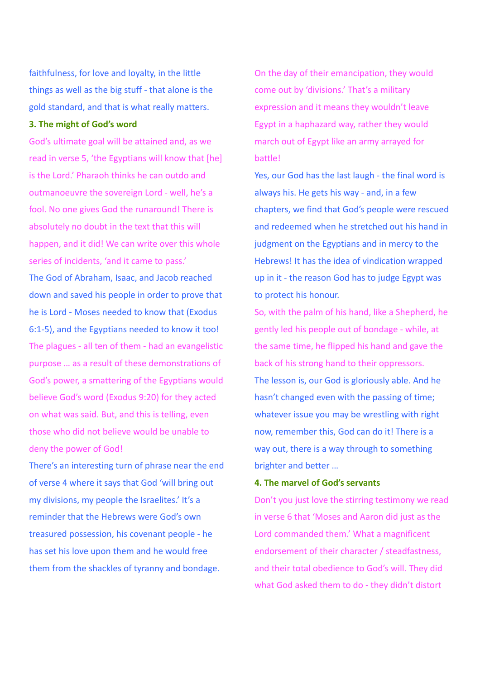faithfulness, for love and loyalty, in the little things as well as the big stuff - that alone is the gold standard, and that is what really matters.

### **3. The might of God's word**

God's ultimate goal will be attained and, as we read in verse 5, 'the Egyptians will know that [he] is the Lord.' Pharaoh thinks he can outdo and outmanoeuvre the sovereign Lord - well, he's a fool. No one gives God the runaround! There is absolutely no doubt in the text that this will happen, and it did! We can write over this whole series of incidents, 'and it came to pass.' The God of Abraham, Isaac, and Jacob reached down and saved his people in order to prove that he is Lord - Moses needed to know that (Exodus 6:1-5), and the Egyptians needed to know it too! The plagues - all ten of them - had an evangelistic purpose … as a result of these demonstrations of God's power, a smattering of the Egyptians would believe God's word (Exodus 9:20) for they acted on what was said. But, and this is telling, even those who did not believe would be unable to deny the power of God!

There's an interesting turn of phrase near the end of verse 4 where it says that God 'will bring out my divisions, my people the Israelites.' It's a reminder that the Hebrews were God's own treasured possession, his covenant people - he has set his love upon them and he would free them from the shackles of tyranny and bondage.

On the day of their emancipation, they would come out by 'divisions.' That's a military expression and it means they wouldn't leave Egypt in a haphazard way, rather they would march out of Egypt like an army arrayed for battle!

Yes, our God has the last laugh - the final word is always his. He gets his way - and, in a few chapters, we find that God's people were rescued and redeemed when he stretched out his hand in judgment on the Egyptians and in mercy to the Hebrews! It has the idea of vindication wrapped up in it - the reason God has to judge Egypt was to protect his honour.

So, with the palm of his hand, like a Shepherd, he gently led his people out of bondage - while, at the same time, he flipped his hand and gave the back of his strong hand to their oppressors. The lesson is, our God is gloriously able. And he hasn't changed even with the passing of time; whatever issue you may be wrestling with right now, remember this, God can do it! There is a way out, there is a way through to something brighter and better …

# **4. The marvel of God's servants**

Don't you just love the stirring testimony we read in verse 6 that 'Moses and Aaron did just as the Lord commanded them.' What a magnificent endorsement of their character / steadfastness, and their total obedience to God's will. They did what God asked them to do - they didn't distort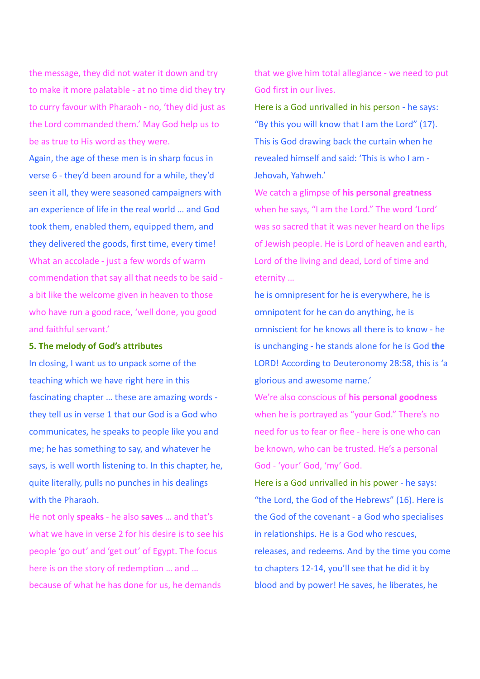the message, they did not water it down and try to make it more palatable - at no time did they try to curry favour with Pharaoh - no, 'they did just as the Lord commanded them.' May God help us to be as true to His word as they were.

Again, the age of these men is in sharp focus in verse 6 - they'd been around for a while, they'd seen it all, they were seasoned campaigners with an experience of life in the real world … and God took them, enabled them, equipped them, and they delivered the goods, first time, every time! What an accolade - just a few words of warm commendation that say all that needs to be said a bit like the welcome given in heaven to those who have run a good race, 'well done, you good and faithful servant.'

### **5. The melody of God's attributes**

In closing, I want us to unpack some of the teaching which we have right here in this fascinating chapter … these are amazing words they tell us in verse 1 that our God is a God who communicates, he speaks to people like you and me; he has something to say, and whatever he says, is well worth listening to. In this chapter, he, quite literally, pulls no punches in his dealings with the Pharaoh.

He not only **speaks** - he also **saves** … and that's what we have in verse 2 for his desire is to see his people 'go out' and 'get out' of Egypt. The focus here is on the story of redemption … and … because of what he has done for us, he demands

that we give him total allegiance - we need to put God first in our lives.

Here is a God unrivalled in his person - he says: "By this you will know that I am the Lord" (17). This is God drawing back the curtain when he revealed himself and said: 'This is who I am - Jehovah, Yahweh.'

We catch a glimpse of **his personal greatness** when he says, "I am the Lord." The word 'Lord' was so sacred that it was never heard on the lips of Jewish people. He is Lord of heaven and earth, Lord of the living and dead, Lord of time and eternity …

he is omnipresent for he is everywhere, he is omnipotent for he can do anything, he is omniscient for he knows all there is to know - he is unchanging - he stands alone for he is God **the** LORD! According to Deuteronomy 28:58, this is 'a glorious and awesome name.'

We're also conscious of **his personal goodness** when he is portrayed as "your God." There's no need for us to fear or flee - here is one who can be known, who can be trusted. He's a personal God - 'your' God, 'my' God.

Here is a God unrivalled in his power - he says: "the Lord, the God of the Hebrews" (16). Here is the God of the covenant - a God who specialises in relationships. He is a God who rescues, releases, and redeems. And by the time you come to chapters 12-14, you'll see that he did it by blood and by power! He saves, he liberates, he